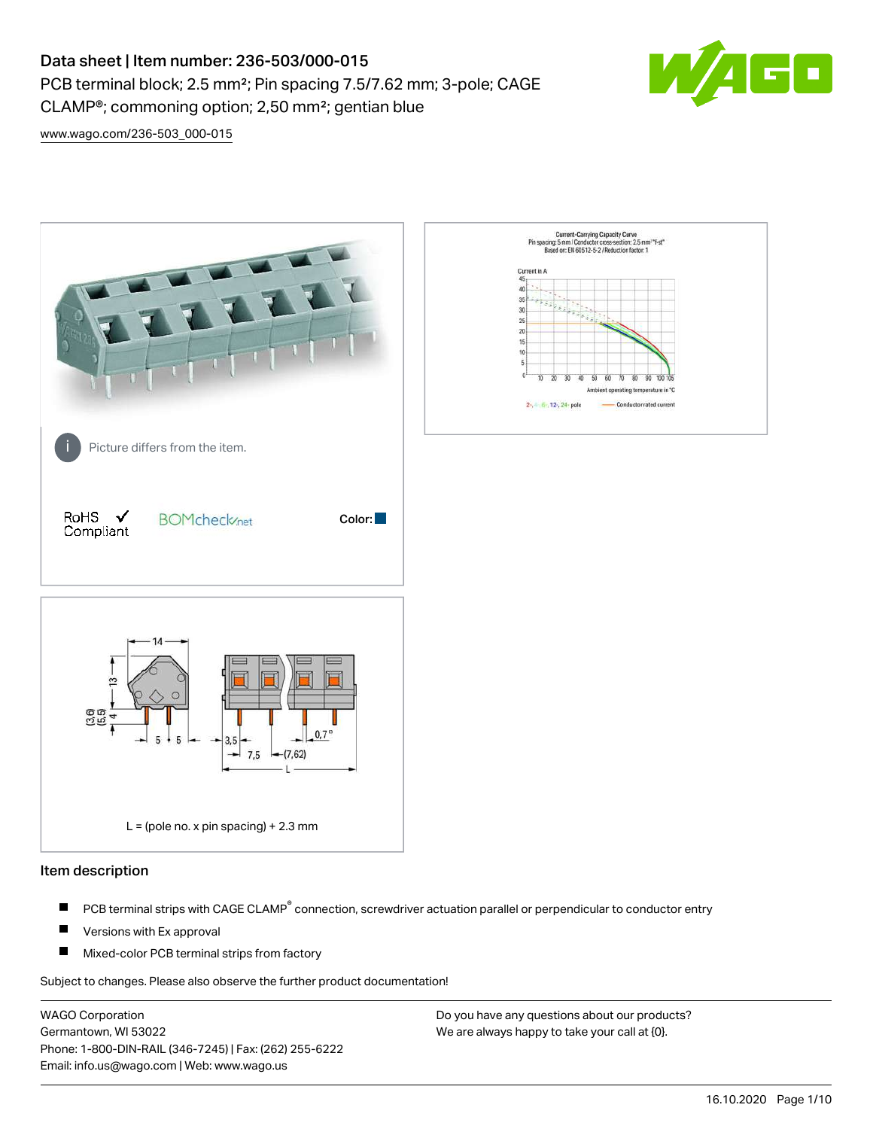# Data sheet | Item number: 236-503/000-015 PCB terminal block; 2.5 mm²; Pin spacing 7.5/7.62 mm; 3-pole; CAGE CLAMP®; commoning option; 2,50 mm²; gentian blue



[www.wago.com/236-503\\_000-015](http://www.wago.com/236-503_000-015)



#### Item description

- PCB terminal strips with CAGE CLAMP<sup>®</sup> connection, screwdriver actuation parallel or perpendicular to conductor entry П
- П Versions with Ex approval
- П Mixed-color PCB terminal strips from factory

Subject to changes. Please also observe the further product documentation!

WAGO Corporation Germantown, WI 53022 Phone: 1-800-DIN-RAIL (346-7245) | Fax: (262) 255-6222 Email: info.us@wago.com | Web: www.wago.us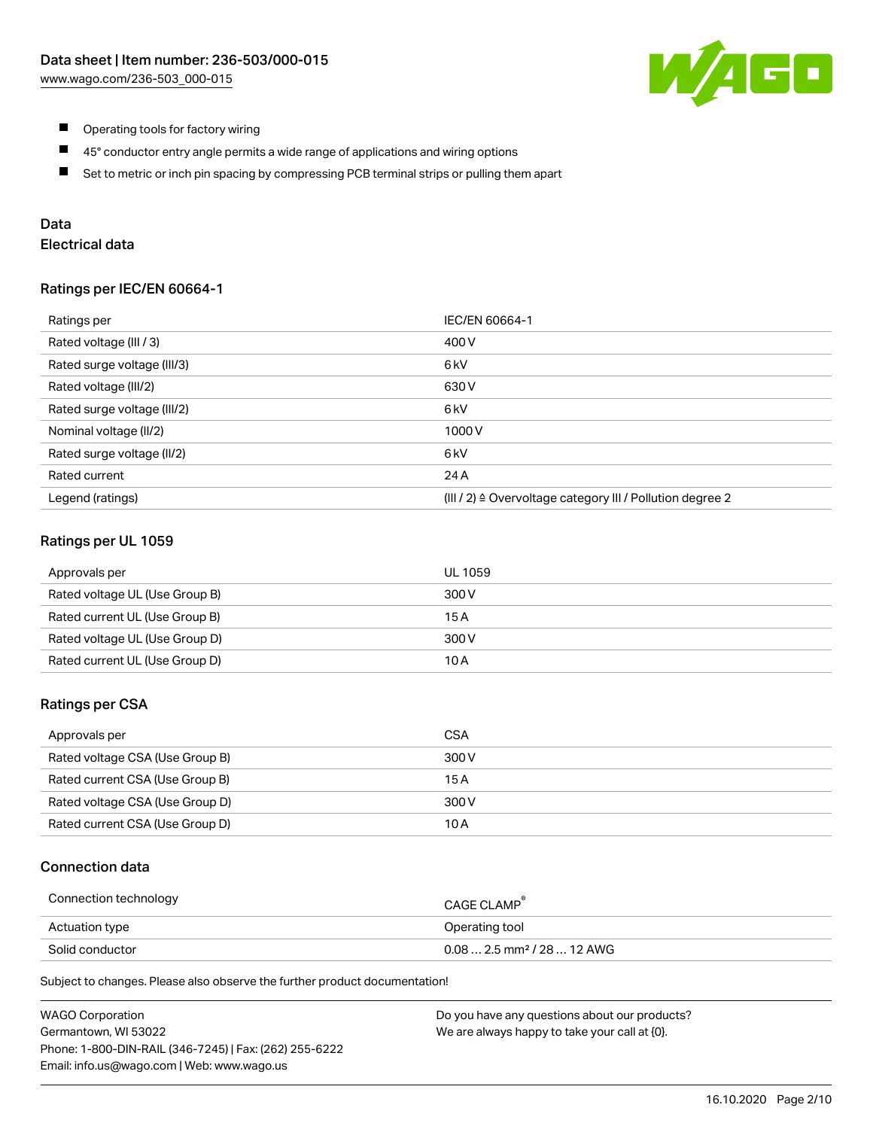

- $\blacksquare$ Operating tools for factory wiring
- $\blacksquare$ 45° conductor entry angle permits a wide range of applications and wiring options
- $\blacksquare$ Set to metric or inch pin spacing by compressing PCB terminal strips or pulling them apart

## Data

# Electrical data

#### Ratings per IEC/EN 60664-1

| Ratings per                 | IEC/EN 60664-1                                            |
|-----------------------------|-----------------------------------------------------------|
| Rated voltage (III / 3)     | 400 V                                                     |
| Rated surge voltage (III/3) | 6 <sub>k</sub> V                                          |
| Rated voltage (III/2)       | 630 V                                                     |
| Rated surge voltage (III/2) | 6 <sub>kV</sub>                                           |
| Nominal voltage (II/2)      | 1000V                                                     |
| Rated surge voltage (II/2)  | 6 kV                                                      |
| Rated current               | 24 A                                                      |
| Legend (ratings)            | (III / 2) ≙ Overvoltage category III / Pollution degree 2 |

#### Ratings per UL 1059

| Approvals per                  | UL 1059 |
|--------------------------------|---------|
| Rated voltage UL (Use Group B) | 300 V   |
| Rated current UL (Use Group B) | 15 A    |
| Rated voltage UL (Use Group D) | 300 V   |
| Rated current UL (Use Group D) | 10 A    |

#### Ratings per CSA

| Approvals per                   | CSA   |
|---------------------------------|-------|
| Rated voltage CSA (Use Group B) | 300 V |
| Rated current CSA (Use Group B) | 15 A  |
| Rated voltage CSA (Use Group D) | 300 V |
| Rated current CSA (Use Group D) | 10 A  |

#### Connection data

| Connection technology | CAGE CLAMP <sup>®</sup>                 |
|-----------------------|-----------------------------------------|
| Actuation type        | Operating tool                          |
| Solid conductor       | $0.08$ 2.5 mm <sup>2</sup> / 28  12 AWG |

Subject to changes. Please also observe the further product documentation!

| <b>WAGO Corporation</b>                                | Do you have any questions about our products? |
|--------------------------------------------------------|-----------------------------------------------|
| Germantown, WI 53022                                   | We are always happy to take your call at {0}. |
| Phone: 1-800-DIN-RAIL (346-7245)   Fax: (262) 255-6222 |                                               |
| Email: info.us@wago.com   Web: www.wago.us             |                                               |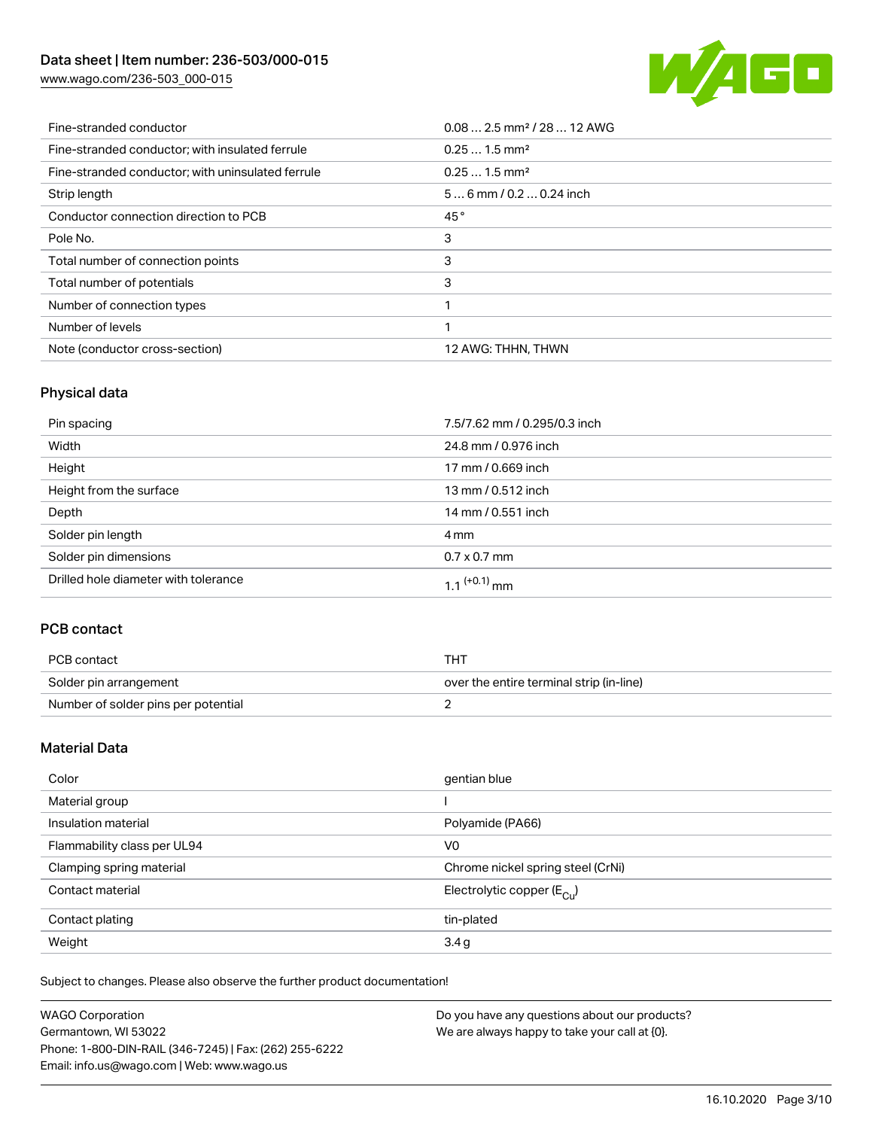## Data sheet | Item number: 236-503/000-015

[www.wago.com/236-503\\_000-015](http://www.wago.com/236-503_000-015)



| Fine-stranded conductor                           | $0.082.5$ mm <sup>2</sup> / 28  12 AWG |
|---------------------------------------------------|----------------------------------------|
| Fine-stranded conductor: with insulated ferrule   | $0.251.5$ mm <sup>2</sup>              |
| Fine-stranded conductor; with uninsulated ferrule | $0.251.5$ mm <sup>2</sup>              |
| Strip length                                      | $56$ mm / 0.2  0.24 inch               |
| Conductor connection direction to PCB             | 45°                                    |
| Pole No.                                          | 3                                      |
| Total number of connection points                 | 3                                      |
| Total number of potentials                        | 3                                      |
| Number of connection types                        |                                        |
| Number of levels                                  |                                        |
| Note (conductor cross-section)                    | 12 AWG: THHN, THWN                     |

# Physical data

| Pin spacing                          | 7.5/7.62 mm / 0.295/0.3 inch |
|--------------------------------------|------------------------------|
| Width                                | 24.8 mm / 0.976 inch         |
| Height                               | 17 mm / 0.669 inch           |
| Height from the surface              | 13 mm / 0.512 inch           |
| Depth                                | 14 mm / 0.551 inch           |
| Solder pin length                    | 4 mm                         |
| Solder pin dimensions                | $0.7 \times 0.7$ mm          |
| Drilled hole diameter with tolerance | $1.1$ <sup>(+0.1)</sup> mm   |

# PCB contact

| PCB contact                         | THT                                      |
|-------------------------------------|------------------------------------------|
| Solder pin arrangement              | over the entire terminal strip (in-line) |
| Number of solder pins per potential |                                          |

## Material Data

| Color                       | gentian blue                          |
|-----------------------------|---------------------------------------|
| Material group              |                                       |
| Insulation material         | Polyamide (PA66)                      |
| Flammability class per UL94 | V <sub>0</sub>                        |
| Clamping spring material    | Chrome nickel spring steel (CrNi)     |
| Contact material            | Electrolytic copper $(E_{\text{Cl}})$ |
| Contact plating             | tin-plated                            |
| Weight                      | 3.4g                                  |

Subject to changes. Please also observe the further product documentation!

| <b>WAGO Corporation</b>                                | Do you have any questions about our products? |
|--------------------------------------------------------|-----------------------------------------------|
| Germantown, WI 53022                                   | We are always happy to take your call at {0}. |
| Phone: 1-800-DIN-RAIL (346-7245)   Fax: (262) 255-6222 |                                               |
| Email: info.us@wago.com   Web: www.wago.us             |                                               |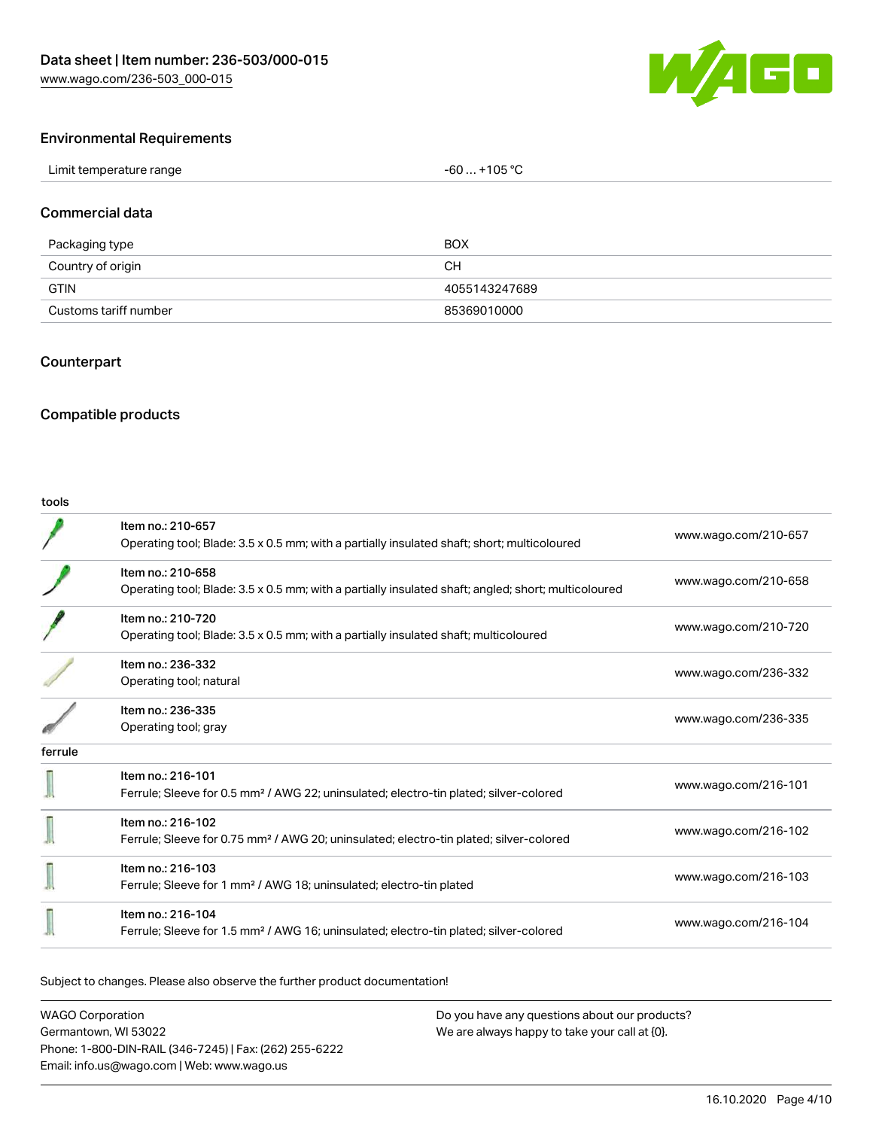

## Environmental Requirements

| Limit temperature range | .+105 °C<br>-60 |
|-------------------------|-----------------|
|-------------------------|-----------------|

## Commercial data

| Packaging type        | BOX           |
|-----------------------|---------------|
| Country of origin     | CН            |
| <b>GTIN</b>           | 4055143247689 |
| Customs tariff number | 85369010000   |

#### **Counterpart**

## Compatible products

| tools   |                                                                                                                          |                      |
|---------|--------------------------------------------------------------------------------------------------------------------------|----------------------|
|         | Item no.: 210-657<br>Operating tool; Blade: 3.5 x 0.5 mm; with a partially insulated shaft; short; multicoloured         | www.wago.com/210-657 |
|         | Item no.: 210-658<br>Operating tool; Blade: 3.5 x 0.5 mm; with a partially insulated shaft; angled; short; multicoloured | www.wago.com/210-658 |
|         | Item no.: 210-720<br>Operating tool; Blade: 3.5 x 0.5 mm; with a partially insulated shaft; multicoloured                | www.wago.com/210-720 |
|         | Item no.: 236-332<br>Operating tool; natural                                                                             | www.wago.com/236-332 |
|         | Item no.: 236-335<br>Operating tool; gray                                                                                | www.wago.com/236-335 |
| ferrule |                                                                                                                          |                      |
|         | Item no.: 216-101<br>Ferrule; Sleeve for 0.5 mm <sup>2</sup> / AWG 22; uninsulated; electro-tin plated; silver-colored   | www.wago.com/216-101 |
|         | Item no.: 216-102<br>Ferrule; Sleeve for 0.75 mm <sup>2</sup> / AWG 20; uninsulated; electro-tin plated; silver-colored  | www.wago.com/216-102 |
|         | Item no.: 216-103<br>Ferrule; Sleeve for 1 mm <sup>2</sup> / AWG 18; uninsulated; electro-tin plated                     | www.wago.com/216-103 |
|         | Item no.: 216-104<br>Ferrule; Sleeve for 1.5 mm <sup>2</sup> / AWG 16; uninsulated; electro-tin plated; silver-colored   | www.wago.com/216-104 |

Subject to changes. Please also observe the further product documentation!

| <b>WAGO Corporation</b>                                | Do you have any questions about our products? |
|--------------------------------------------------------|-----------------------------------------------|
| Germantown, WI 53022                                   | We are always happy to take your call at {0}. |
| Phone: 1-800-DIN-RAIL (346-7245)   Fax: (262) 255-6222 |                                               |
| Email: info.us@wago.com   Web: www.wago.us             |                                               |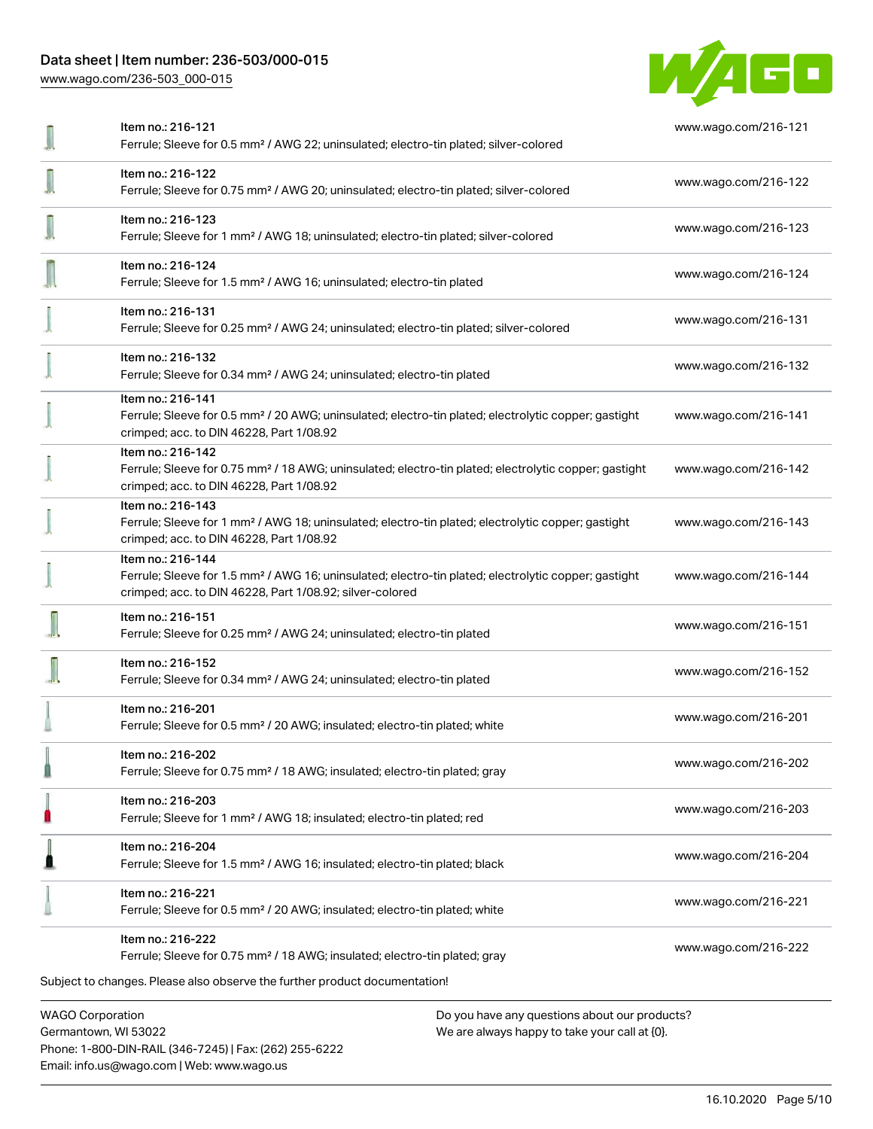# Data sheet | Item number: 236-503/000-015

[www.wago.com/236-503\\_000-015](http://www.wago.com/236-503_000-015)



| Item no.: 216-121<br>Ferrule; Sleeve for 0.5 mm <sup>2</sup> / AWG 22; uninsulated; electro-tin plated; silver-colored                                                                            | www.wago.com/216-121 |
|---------------------------------------------------------------------------------------------------------------------------------------------------------------------------------------------------|----------------------|
| Item no.: 216-122<br>Ferrule; Sleeve for 0.75 mm <sup>2</sup> / AWG 20; uninsulated; electro-tin plated; silver-colored                                                                           | www.wago.com/216-122 |
| Item no.: 216-123<br>Ferrule; Sleeve for 1 mm <sup>2</sup> / AWG 18; uninsulated; electro-tin plated; silver-colored                                                                              | www.wago.com/216-123 |
| Item no.: 216-124<br>Ferrule; Sleeve for 1.5 mm <sup>2</sup> / AWG 16; uninsulated; electro-tin plated                                                                                            | www.wago.com/216-124 |
| Item no.: 216-131<br>Ferrule; Sleeve for 0.25 mm <sup>2</sup> / AWG 24; uninsulated; electro-tin plated; silver-colored                                                                           | www.wago.com/216-131 |
| Item no.: 216-132<br>Ferrule; Sleeve for 0.34 mm <sup>2</sup> / AWG 24; uninsulated; electro-tin plated                                                                                           | www.wago.com/216-132 |
| Item no.: 216-141<br>Ferrule; Sleeve for 0.5 mm <sup>2</sup> / 20 AWG; uninsulated; electro-tin plated; electrolytic copper; gastight<br>crimped; acc. to DIN 46228, Part 1/08.92                 | www.wago.com/216-141 |
| Item no.: 216-142<br>Ferrule; Sleeve for 0.75 mm <sup>2</sup> / 18 AWG; uninsulated; electro-tin plated; electrolytic copper; gastight<br>crimped; acc. to DIN 46228, Part 1/08.92                | www.wago.com/216-142 |
| Item no.: 216-143<br>Ferrule; Sleeve for 1 mm <sup>2</sup> / AWG 18; uninsulated; electro-tin plated; electrolytic copper; gastight<br>crimped; acc. to DIN 46228, Part 1/08.92                   | www.wago.com/216-143 |
| Item no.: 216-144<br>Ferrule; Sleeve for 1.5 mm <sup>2</sup> / AWG 16; uninsulated; electro-tin plated; electrolytic copper; gastight<br>crimped; acc. to DIN 46228, Part 1/08.92; silver-colored | www.wago.com/216-144 |
| Item no.: 216-151<br>Ferrule; Sleeve for 0.25 mm <sup>2</sup> / AWG 24; uninsulated; electro-tin plated                                                                                           | www.wago.com/216-151 |
| Item no.: 216-152<br>Ferrule; Sleeve for 0.34 mm <sup>2</sup> / AWG 24; uninsulated; electro-tin plated                                                                                           | www.wago.com/216-152 |
| Item no.: 216-201<br>Ferrule; Sleeve for 0.5 mm <sup>2</sup> / 20 AWG; insulated; electro-tin plated; white                                                                                       | www.wago.com/216-201 |
| Item no.: 216-202<br>Ferrule; Sleeve for 0.75 mm <sup>2</sup> / 18 AWG; insulated; electro-tin plated; gray                                                                                       | www.wago.com/216-202 |
| Item no.: 216-203<br>Ferrule; Sleeve for 1 mm <sup>2</sup> / AWG 18; insulated; electro-tin plated; red                                                                                           | www.wago.com/216-203 |
| Item no.: 216-204<br>Ferrule; Sleeve for 1.5 mm <sup>2</sup> / AWG 16; insulated; electro-tin plated; black                                                                                       | www.wago.com/216-204 |
| Item no.: 216-221<br>Ferrule; Sleeve for 0.5 mm <sup>2</sup> / 20 AWG; insulated; electro-tin plated; white                                                                                       | www.wago.com/216-221 |
| Item no.: 216-222<br>Ferrule; Sleeve for 0.75 mm <sup>2</sup> / 18 AWG; insulated; electro-tin plated; gray                                                                                       | www.wago.com/216-222 |
| Subject to changes. Please also observe the further product documentation!                                                                                                                        |                      |
| <b>WAGO Corporation</b><br>Do you have any questions about our products?                                                                                                                          |                      |

Germantown, WI 53022 Phone: 1-800-DIN-RAIL (346-7245) | Fax: (262) 255-6222 Email: info.us@wago.com | Web: www.wago.us

We are always happy to take your call at {0}.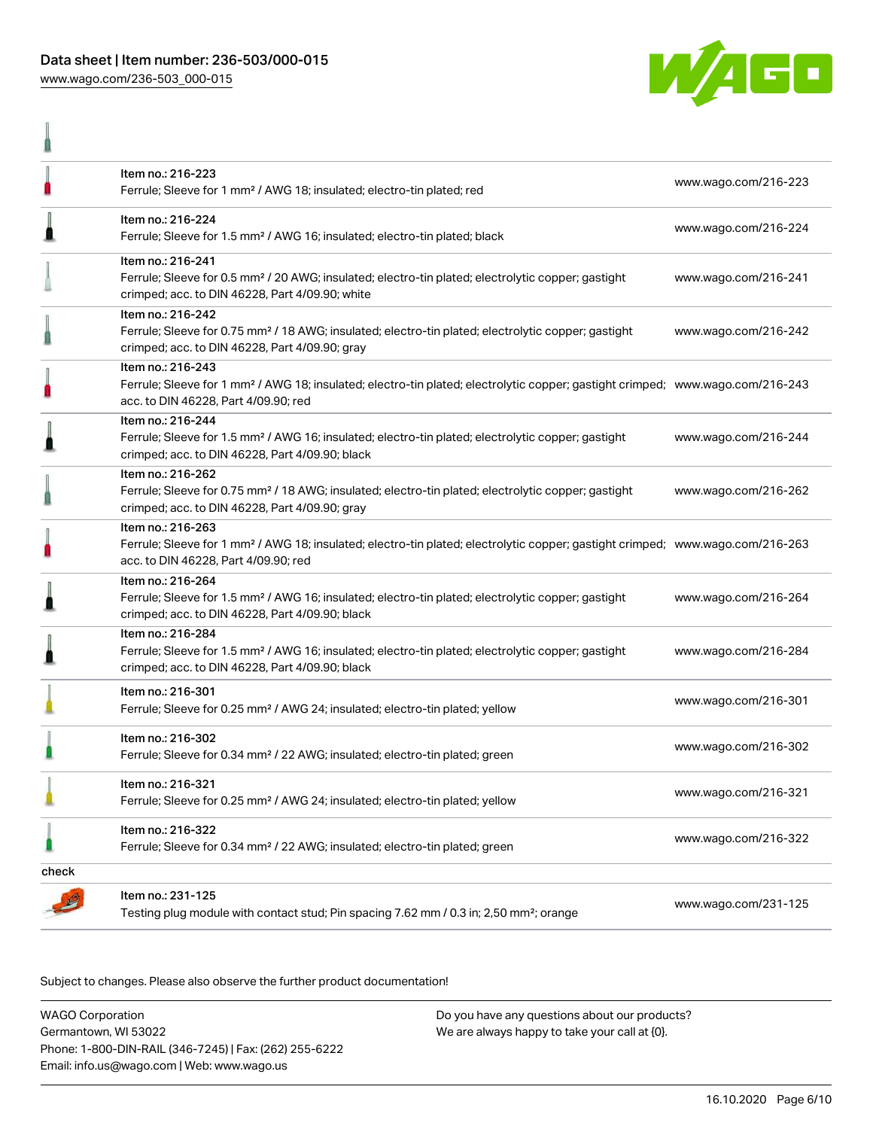## Data sheet | Item number: 236-503/000-015 [www.wago.com/236-503\\_000-015](http://www.wago.com/236-503_000-015)

f



|       | Item no.: 216-223<br>Ferrule; Sleeve for 1 mm <sup>2</sup> / AWG 18; insulated; electro-tin plated; red                                                                                                 | www.wago.com/216-223 |
|-------|---------------------------------------------------------------------------------------------------------------------------------------------------------------------------------------------------------|----------------------|
| ≞     | Item no.: 216-224<br>Ferrule; Sleeve for 1.5 mm <sup>2</sup> / AWG 16; insulated; electro-tin plated; black                                                                                             | www.wago.com/216-224 |
|       | Item no.: 216-241<br>Ferrule; Sleeve for 0.5 mm <sup>2</sup> / 20 AWG; insulated; electro-tin plated; electrolytic copper; gastight<br>crimped; acc. to DIN 46228, Part 4/09.90; white                  | www.wago.com/216-241 |
| Ä     | Item no.: 216-242<br>Ferrule; Sleeve for 0.75 mm <sup>2</sup> / 18 AWG; insulated; electro-tin plated; electrolytic copper; gastight<br>crimped; acc. to DIN 46228, Part 4/09.90; gray                  | www.wago.com/216-242 |
|       | Item no.: 216-243<br>Ferrule; Sleeve for 1 mm <sup>2</sup> / AWG 18; insulated; electro-tin plated; electrolytic copper; gastight crimped; www.wago.com/216-243<br>acc. to DIN 46228, Part 4/09.90; red |                      |
| Ä     | Item no.: 216-244<br>Ferrule; Sleeve for 1.5 mm <sup>2</sup> / AWG 16; insulated; electro-tin plated; electrolytic copper; gastight<br>crimped; acc. to DIN 46228, Part 4/09.90; black                  | www.wago.com/216-244 |
|       | Item no.: 216-262<br>Ferrule; Sleeve for 0.75 mm <sup>2</sup> / 18 AWG; insulated; electro-tin plated; electrolytic copper; gastight<br>crimped; acc. to DIN 46228, Part 4/09.90; gray                  | www.wago.com/216-262 |
|       | Item no.: 216-263<br>Ferrule; Sleeve for 1 mm <sup>2</sup> / AWG 18; insulated; electro-tin plated; electrolytic copper; gastight crimped; www.wago.com/216-263<br>acc. to DIN 46228, Part 4/09.90; red |                      |
| ≞     | Item no.: 216-264<br>Ferrule; Sleeve for 1.5 mm <sup>2</sup> / AWG 16; insulated; electro-tin plated; electrolytic copper; gastight<br>crimped; acc. to DIN 46228, Part 4/09.90; black                  | www.wago.com/216-264 |
| Ä     | Item no.: 216-284<br>Ferrule; Sleeve for 1.5 mm <sup>2</sup> / AWG 16; insulated; electro-tin plated; electrolytic copper; gastight<br>crimped; acc. to DIN 46228, Part 4/09.90; black                  | www.wago.com/216-284 |
|       | Item no.: 216-301<br>Ferrule; Sleeve for 0.25 mm <sup>2</sup> / AWG 24; insulated; electro-tin plated; yellow                                                                                           | www.wago.com/216-301 |
|       | Item no.: 216-302<br>Ferrule; Sleeve for 0.34 mm <sup>2</sup> / 22 AWG; insulated; electro-tin plated; green                                                                                            | www.wago.com/216-302 |
|       | Item no.: 216-321<br>Ferrule; Sleeve for 0.25 mm <sup>2</sup> / AWG 24; insulated; electro-tin plated; yellow                                                                                           | www.wago.com/216-321 |
|       | Item no.: 216-322<br>Ferrule; Sleeve for 0.34 mm <sup>2</sup> / 22 AWG; insulated; electro-tin plated; green                                                                                            | www.wago.com/216-322 |
| check |                                                                                                                                                                                                         |                      |
|       | Item no.: 231-125<br>Testing plug module with contact stud; Pin spacing 7.62 mm / 0.3 in; 2,50 mm <sup>2</sup> ; orange                                                                                 | www.wago.com/231-125 |

Subject to changes. Please also observe the further product documentation!

WAGO Corporation Germantown, WI 53022 Phone: 1-800-DIN-RAIL (346-7245) | Fax: (262) 255-6222 Email: info.us@wago.com | Web: www.wago.us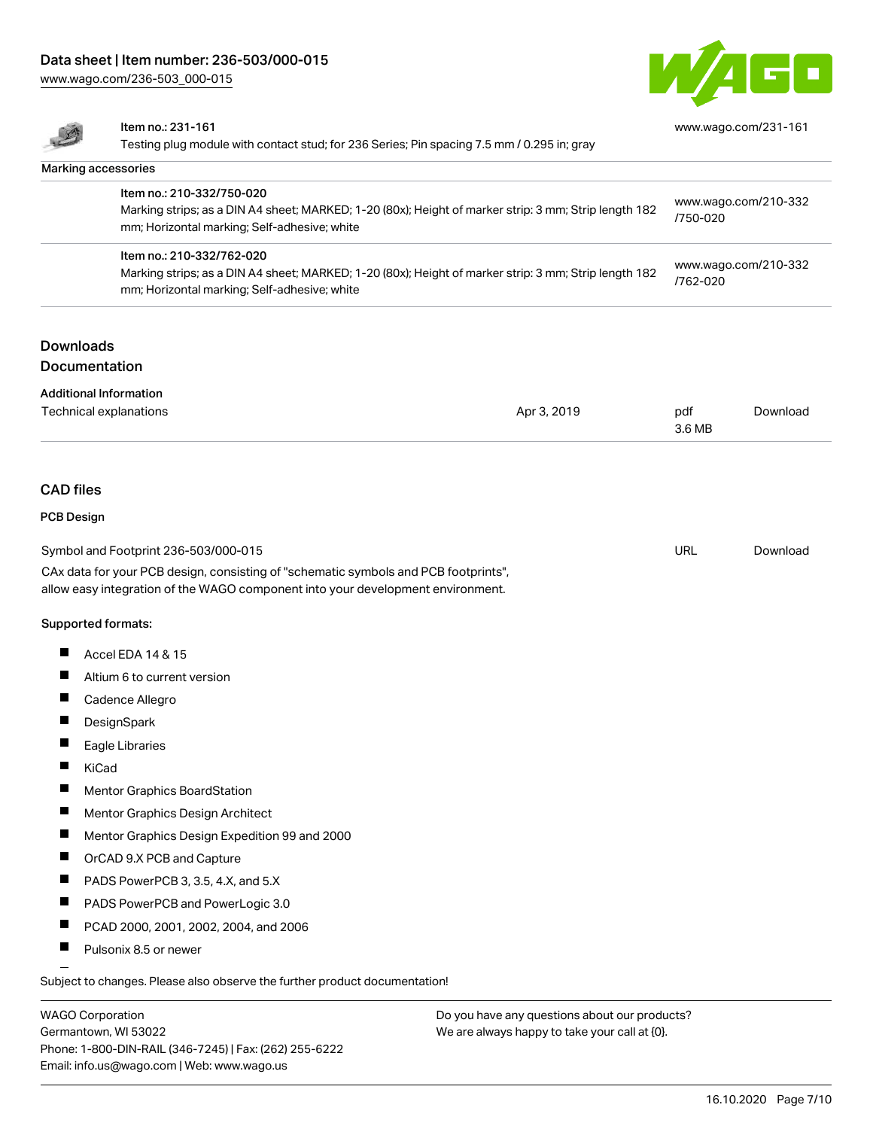## Data sheet | Item number: 236-503/000-015

[www.wago.com/236-503\\_000-015](http://www.wago.com/236-503_000-015)



|                                   | Item no.: 231-161                                                                                                                                                                                              |             |                                  | www.wago.com/231-161 |  |
|-----------------------------------|----------------------------------------------------------------------------------------------------------------------------------------------------------------------------------------------------------------|-------------|----------------------------------|----------------------|--|
|                                   | Testing plug module with contact stud; for 236 Series; Pin spacing 7.5 mm / 0.295 in; gray                                                                                                                     |             |                                  |                      |  |
| Marking accessories               |                                                                                                                                                                                                                |             |                                  |                      |  |
|                                   | Item no.: 210-332/750-020<br>Marking strips; as a DIN A4 sheet; MARKED; 1-20 (80x); Height of marker strip: 3 mm; Strip length 182<br>mm; Horizontal marking; Self-adhesive; white                             |             | /750-020                         | www.wago.com/210-332 |  |
|                                   | Item no.: 210-332/762-020<br>Marking strips; as a DIN A4 sheet; MARKED; 1-20 (80x); Height of marker strip: 3 mm; Strip length 182<br>mm; Horizontal marking; Self-adhesive; white                             |             | www.wago.com/210-332<br>/762-020 |                      |  |
| <b>Downloads</b><br>Documentation |                                                                                                                                                                                                                |             |                                  |                      |  |
|                                   | <b>Additional Information</b><br>Technical explanations                                                                                                                                                        | Apr 3, 2019 | pdf<br>3.6 MB                    | Download             |  |
| <b>CAD files</b>                  |                                                                                                                                                                                                                |             |                                  |                      |  |
| <b>PCB Design</b>                 |                                                                                                                                                                                                                |             |                                  |                      |  |
|                                   | Symbol and Footprint 236-503/000-015<br>CAx data for your PCB design, consisting of "schematic symbols and PCB footprints",<br>allow easy integration of the WAGO component into your development environment. |             | <b>URL</b>                       | Download             |  |
| Supported formats:                |                                                                                                                                                                                                                |             |                                  |                      |  |
| Ш                                 | Accel EDA 14 & 15                                                                                                                                                                                              |             |                                  |                      |  |
| П                                 | Altium 6 to current version                                                                                                                                                                                    |             |                                  |                      |  |
| H.                                | Cadence Allegro                                                                                                                                                                                                |             |                                  |                      |  |
|                                   | DesignSpark                                                                                                                                                                                                    |             |                                  |                      |  |
|                                   | Eagle Libraries                                                                                                                                                                                                |             |                                  |                      |  |
| H<br>KiCad                        |                                                                                                                                                                                                                |             |                                  |                      |  |
|                                   | Mentor Graphics BoardStation                                                                                                                                                                                   |             |                                  |                      |  |
| H.                                | Mentor Graphics Design Architect                                                                                                                                                                               |             |                                  |                      |  |
| ш                                 | Mentor Graphics Design Expedition 99 and 2000                                                                                                                                                                  |             |                                  |                      |  |
| П                                 | OrCAD 9.X PCB and Capture                                                                                                                                                                                      |             |                                  |                      |  |
| H.                                | PADS PowerPCB 3, 3.5, 4.X, and 5.X                                                                                                                                                                             |             |                                  |                      |  |
| Ш                                 | PADS PowerPCB and PowerLogic 3.0                                                                                                                                                                               |             |                                  |                      |  |
| П                                 | PCAD 2000, 2001, 2002, 2004, and 2006                                                                                                                                                                          |             |                                  |                      |  |
|                                   |                                                                                                                                                                                                                |             |                                  |                      |  |

Subject to changes. Please also observe the further product documentation!

WAGO Corporation Germantown, WI 53022 Phone: 1-800-DIN-RAIL (346-7245) | Fax: (262) 255-6222 Email: info.us@wago.com | Web: www.wago.us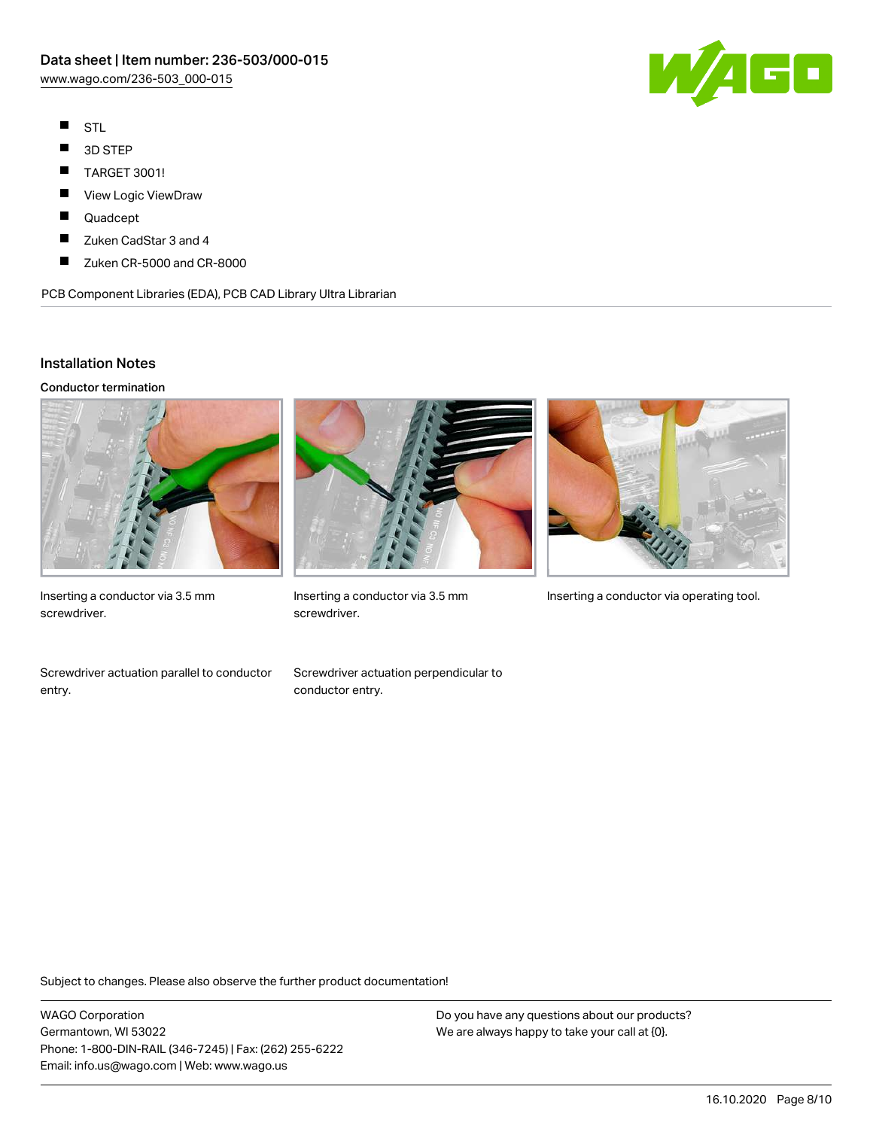

- $\blacksquare$ STL
- $\blacksquare$ 3D STEP
- $\blacksquare$ TARGET 3001!
- View Logic ViewDraw  $\blacksquare$
- П Quadcept
- П Zuken CadStar 3 and 4
- $\blacksquare$ Zuken CR-5000 and CR-8000

PCB Component Libraries (EDA), PCB CAD Library Ultra Librarian

#### Installation Notes

Conductor termination



Inserting a conductor via 3.5 mm screwdriver.



screwdriver.



Inserting a conductor via 3.5 mm Inserting a conductor via operating tool.

Screwdriver actuation parallel to conductor entry.

Screwdriver actuation perpendicular to conductor entry.

Subject to changes. Please also observe the further product documentation!

WAGO Corporation Germantown, WI 53022 Phone: 1-800-DIN-RAIL (346-7245) | Fax: (262) 255-6222 Email: info.us@wago.com | Web: www.wago.us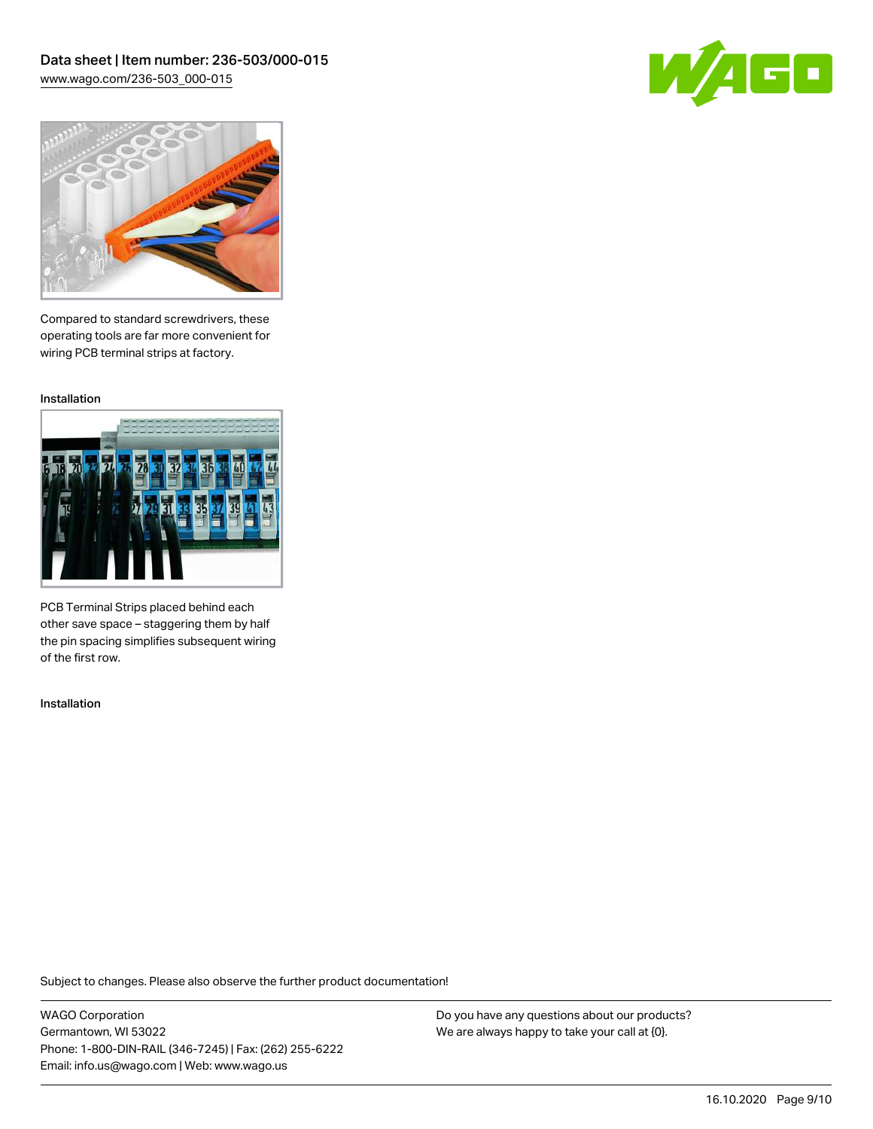### Data sheet | Item number: 236-503/000-015 [www.wago.com/236-503\\_000-015](http://www.wago.com/236-503_000-015)





Compared to standard screwdrivers, these operating tools are far more convenient for wiring PCB terminal strips at factory.

Installation



PCB Terminal Strips placed behind each other save space – staggering them by half the pin spacing simplifies subsequent wiring of the first row.

Installation

Subject to changes. Please also observe the further product documentation!

WAGO Corporation Germantown, WI 53022 Phone: 1-800-DIN-RAIL (346-7245) | Fax: (262) 255-6222 Email: info.us@wago.com | Web: www.wago.us